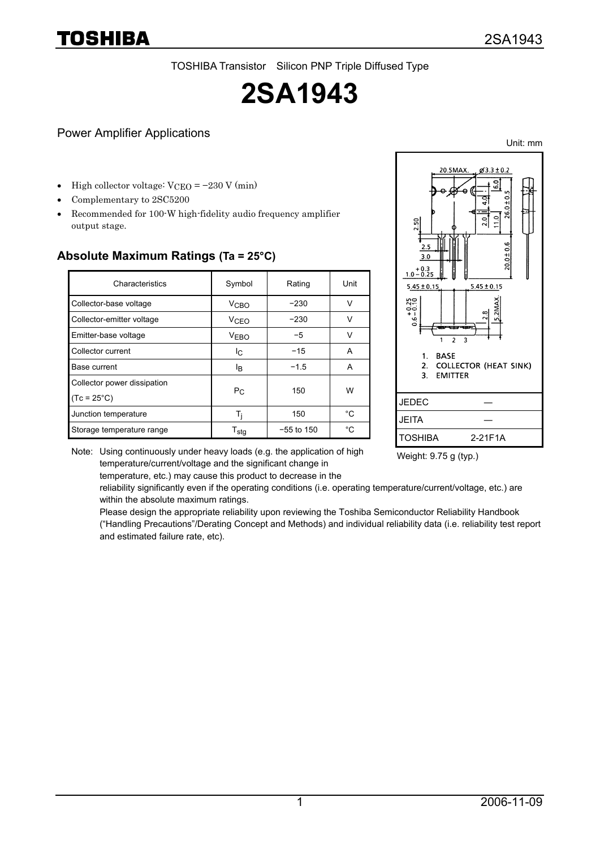TOSHIBA Transistor Silicon PNP Triple Diffused Type

# **2SA1943**

#### Power Amplifier Applications

High collector voltage:  $VCEO = -230 V (min)$ 

- Complementary to 2SC5200
- Recommended for 100-W high-fidelity audio frequency amplifier output stage.

| Absolute Maximum Ratings (Ta = 25°C) |  |
|--------------------------------------|--|
|                                      |  |

| Characteristics             | Symbol                      | Rating       | Unit         |  |
|-----------------------------|-----------------------------|--------------|--------------|--|
| Collector-base voltage      | <b>V<sub>CBO</sub></b>      | $-230$       |              |  |
| Collector-emitter voltage   | V <sub>CEO</sub>            | $-230$       |              |  |
| Emitter-base voltage        | <b>VEBO</b>                 | $-5$         |              |  |
| Collector current           | Ιc                          | $-15$        | A            |  |
| Base current                | Iв                          | $-1.5$       | A            |  |
| Collector power dissipation |                             | 150          | W            |  |
| $(Tc = 25^{\circ}C)$        | $P_{C}$                     |              |              |  |
| Junction temperature        | Ь                           | 150          | °C           |  |
| Storage temperature range   | $\mathsf{T}_{\mathsf{stg}}$ | $-55$ to 150 | $^{\circ}$ C |  |



Note: Using continuously under heavy loads (e.g. the application of high temperature/current/voltage and the significant change in temperature, etc.) may cause this product to decrease in the

Weight: 9.75 g (typ.)

reliability significantly even if the operating conditions (i.e. operating temperature/current/voltage, etc.) are within the absolute maximum ratings.

Please design the appropriate reliability upon reviewing the Toshiba Semiconductor Reliability Handbook ("Handling Precautions"/Derating Concept and Methods) and individual reliability data (i.e. reliability test report and estimated failure rate, etc).



Unit: mm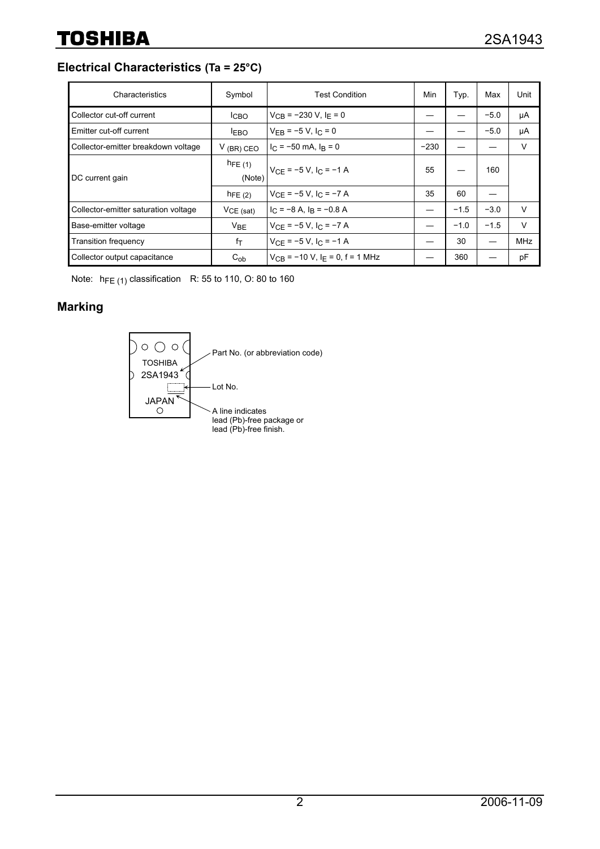**Electrical Characteristics (Ta = 25°C)**

| Characteristics                      | Symbol                | <b>Test Condition</b>                           | Min    | Typ.   | Max    | Unit       |
|--------------------------------------|-----------------------|-------------------------------------------------|--------|--------|--------|------------|
| Collector cut-off current            | <b>ICBO</b>           | $V_{CR}$ = -230 V, I <sub>F</sub> = 0           |        |        | $-5.0$ | μA         |
| <b>Emitter cut-off current</b>       | <b>LEBO</b>           | $V_{FR}$ = -5 V, I <sub>C</sub> = 0             |        |        | $-5.0$ | μA         |
| Collector-emitter breakdown voltage  | $V$ (BR) CEO          | $I_C = -50$ mA, $I_R = 0$                       | $-230$ |        |        | $\vee$     |
| DC current gain                      | $h_{FE(1)}$<br>(Note) | $V_{CE}$ = -5 V, I <sub>C</sub> = -1 A          | 55     |        | 160    |            |
|                                      | $h_{FE(2)}$           | $V_{CF} = -5 V$ , I <sub>C</sub> = $-7 A$       | 35     | 60     |        |            |
| Collector-emitter saturation voltage | $VCE$ (sat)           | $I_C = -8$ A, $I_R = -0.8$ A                    |        | $-1.5$ | $-3.0$ | V          |
| Base-emitter voltage                 | V <sub>BE</sub>       | $V_{CF}$ = -5 V, I <sub>C</sub> = -7 A          |        | $-1.0$ | $-1.5$ | $\vee$     |
| <b>Transition frequency</b>          | fτ                    | $V_{CE} = -5 V$ , $I_C = -1 A$                  |        | 30     |        | <b>MHz</b> |
| Collector output capacitance         | $C_{ob}$              | $V_{CR}$ = -10 V, I <sub>F</sub> = 0, f = 1 MHz |        | 360    |        | pF         |

Note:  $h_{FE(1)}$  classification R: 55 to 110, O: 80 to 160

## **Marking**

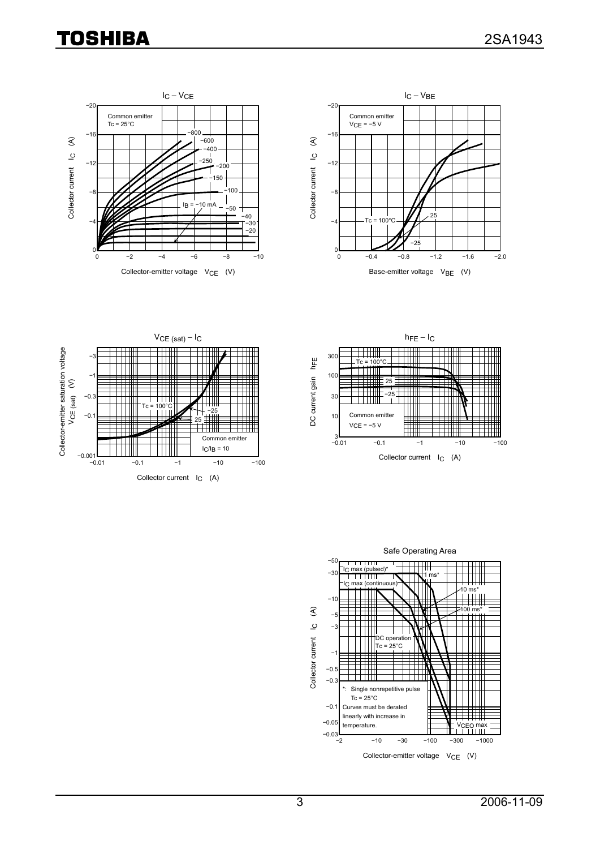# **TOSHIBA**









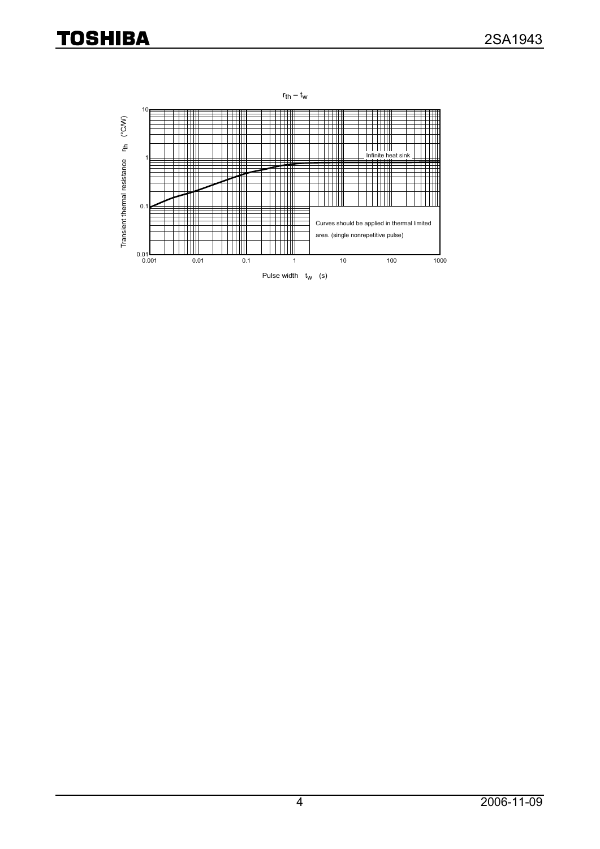